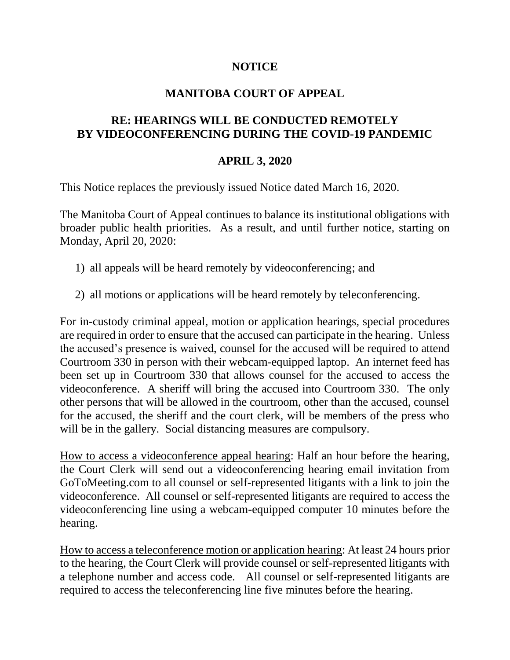## **NOTICE**

## **MANITOBA COURT OF APPEAL**

## **RE: HEARINGS WILL BE CONDUCTED REMOTELY BY VIDEOCONFERENCING DURING THE COVID-19 PANDEMIC**

## **APRIL 3, 2020**

This Notice replaces the previously issued Notice dated March 16, 2020.

The Manitoba Court of Appeal continues to balance its institutional obligations with broader public health priorities. As a result, and until further notice, starting on Monday, April 20, 2020:

- 1) all appeals will be heard remotely by videoconferencing; and
- 2) all motions or applications will be heard remotely by teleconferencing.

For in-custody criminal appeal, motion or application hearings, special procedures are required in order to ensure that the accused can participate in the hearing. Unless the accused's presence is waived, counsel for the accused will be required to attend Courtroom 330 in person with their webcam-equipped laptop. An internet feed has been set up in Courtroom 330 that allows counsel for the accused to access the videoconference. A sheriff will bring the accused into Courtroom 330. The only other persons that will be allowed in the courtroom, other than the accused, counsel for the accused, the sheriff and the court clerk, will be members of the press who will be in the gallery. Social distancing measures are compulsory.

How to access a videoconference appeal hearing: Half an hour before the hearing, the Court Clerk will send out a videoconferencing hearing email invitation from GoToMeeting.com to all counsel or self-represented litigants with a link to join the videoconference. All counsel or self-represented litigants are required to access the videoconferencing line using a webcam-equipped computer 10 minutes before the hearing.

How to access a teleconference motion or application hearing: At least 24 hours prior to the hearing, the Court Clerk will provide counsel or self-represented litigants with a telephone number and access code. All counsel or self-represented litigants are required to access the teleconferencing line five minutes before the hearing.